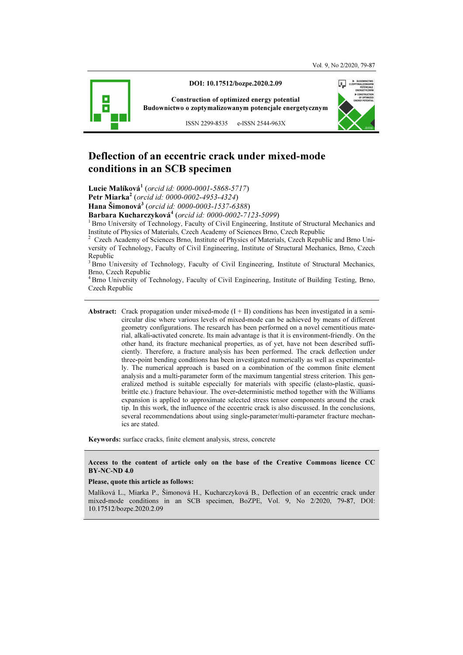

DOI: 10.17512/bozpe.2020.2.09

Construction of optimized energy potential Budownictwo o zoptymalizowanym potencjale energetycznym

ISSN 2299-8535 e-ISSN 2544-963X

# Deflection of an eccentric crack under mixed-mode conditions in an SCB specimen

Lucie Malíková<sup>1</sup> (orcid id: 0000-0001-5868-5717)

Petr Miarka<sup>2</sup> (orcid id: 0000-0002-4953-4324)

Hana Šimonová<sup>3</sup> (orcid id: 0000-0003-1537-6388)

Barbara Kucharczyková<sup>4</sup> (orcid id: 0000-0002-7123-5099)

<sup>1</sup> Brno University of Technology, Faculty of Civil Engineering, Institute of Structural Mechanics and Institute of Physics of Materials, Czech Academy of Sciences Brno, Czech Republic 2

 Czech Academy of Sciences Brno, Institute of Physics of Materials, Czech Republic and Brno University of Technology, Faculty of Civil Engineering, Institute of Structural Mechanics, Brno, Czech Republic

<sup>3</sup> Brno University of Technology, Faculty of Civil Engineering, Institute of Structural Mechanics, Brno, Czech Republic

<sup>4</sup>Brno University of Technology, Faculty of Civil Engineering, Institute of Building Testing, Brno, Czech Republic

**Abstract:** Crack propagation under mixed-mode  $(I + II)$  conditions has been investigated in a semicircular disc where various levels of mixed-mode can be achieved by means of different geometry configurations. The research has been performed on a novel cementitious material, alkali-activated concrete. Its main advantage is that it is environment-friendly. On the other hand, its fracture mechanical properties, as of yet, have not been described sufficiently. Therefore, a fracture analysis has been performed. The crack deflection under three-point bending conditions has been investigated numerically as well as experimentally. The numerical approach is based on a combination of the common finite element analysis and a multi-parameter form of the maximum tangential stress criterion. This generalized method is suitable especially for materials with specific (elasto-plastic, quasibrittle etc.) fracture behaviour. The over-deterministic method together with the Williams expansion is applied to approximate selected stress tensor components around the crack tip. In this work, the influence of the eccentric crack is also discussed. In the conclusions, several recommendations about using single-parameter/multi-parameter fracture mechanics are stated.

Keywords: surface cracks, finite element analysis, stress, concrete

#### Access to the content of article only on the base of the Creative Commons licence CC BY-NC-ND 4.0

#### Please, quote this article as follows:

Malíková L., Miarka P., Šimonová H., Kucharczyková B., Deflection of an eccentric crack under mixed-mode conditions in an SCB specimen, BoZPE, Vol. 9, No 2/2020, 79-87, DOI: 10.17512/bozpe.2020.2.09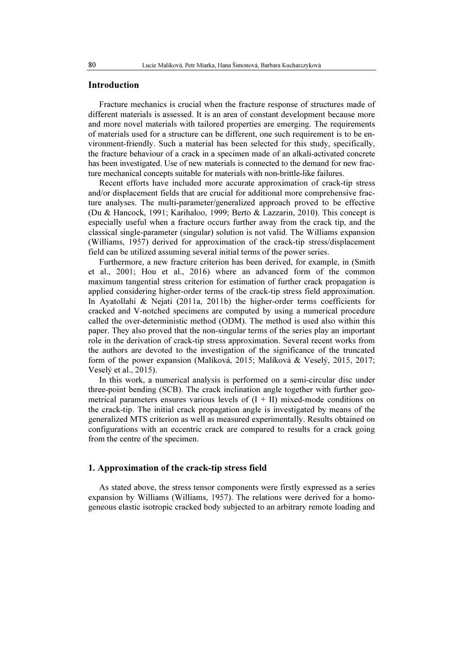#### Introduction

Fracture mechanics is crucial when the fracture response of structures made of different materials is assessed. It is an area of constant development because more and more novel materials with tailored properties are emerging. The requirements of materials used for a structure can be different, one such requirement is to be environment-friendly. Such a material has been selected for this study, specifically, the fracture behaviour of a crack in a specimen made of an alkali-activated concrete has been investigated. Use of new materials is connected to the demand for new fracture mechanical concepts suitable for materials with non-brittle-like failures.

Recent efforts have included more accurate approximation of crack-tip stress and/or displacement fields that are crucial for additional more comprehensive fracture analyses. The multi-parameter/generalized approach proved to be effective (Du & Hancock, 1991; Karihaloo, 1999; Berto & Lazzarin, 2010). This concept is especially useful when a fracture occurs further away from the crack tip, and the classical single-parameter (singular) solution is not valid. The Williams expansion (Williams, 1957) derived for approximation of the crack-tip stress/displacement field can be utilized assuming several initial terms of the power series.

Furthermore, a new fracture criterion has been derived, for example, in (Smith et al., 2001; Hou et al., 2016) where an advanced form of the common maximum tangential stress criterion for estimation of further crack propagation is applied considering higher-order terms of the crack-tip stress field approximation. In Ayatollahi & Nejati (2011a, 2011b) the higher-order terms coefficients for cracked and V-notched specimens are computed by using a numerical procedure called the over-deterministic method (ODM). The method is used also within this paper. They also proved that the non-singular terms of the series play an important role in the derivation of crack-tip stress approximation. Several recent works from the authors are devoted to the investigation of the significance of the truncated form of the power expansion (Malíková, 2015; Malíková & Veselý, 2015, 2017; Veselý et al., 2015).

In this work, a numerical analysis is performed on a semi-circular disc under three-point bending (SCB). The crack inclination angle together with further geometrical parameters ensures various levels of  $(I + II)$  mixed-mode conditions on the crack-tip. The initial crack propagation angle is investigated by means of the generalized MTS criterion as well as measured experimentally. Results obtained on configurations with an eccentric crack are compared to results for a crack going from the centre of the specimen.

### 1. Approximation of the crack-tip stress field

As stated above, the stress tensor components were firstly expressed as a series expansion by Williams (Williams, 1957). The relations were derived for a homogeneous elastic isotropic cracked body subjected to an arbitrary remote loading and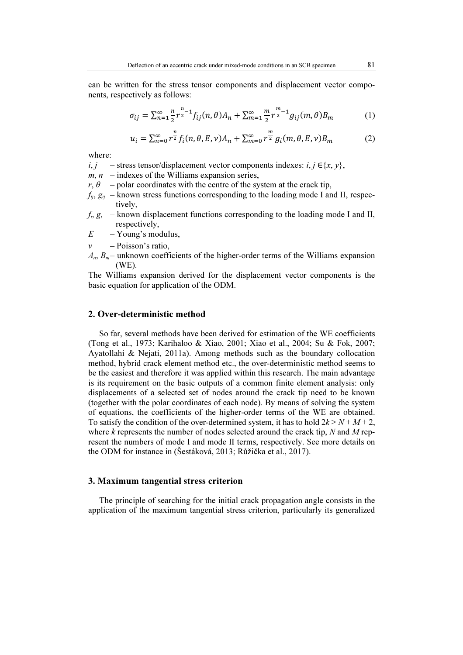can be written for the stress tensor components and displacement vector components, respectively as follows:

$$
\sigma_{ij} = \sum_{n=1}^{\infty} \frac{n}{2} r^{\frac{n}{2}-1} f_{ij}(n, \theta) A_n + \sum_{m=1}^{\infty} \frac{m}{2} r^{\frac{m}{2}-1} g_{ij}(m, \theta) B_m \tag{1}
$$

$$
u_i = \sum_{n=0}^{\infty} r^{\frac{n}{2}} f_i(n, \theta, E, \nu) A_n + \sum_{m=0}^{\infty} r^{\frac{m}{2}} g_i(m, \theta, E, \nu) B_m
$$
 (2)

where:

i, j – stress tensor/displacement vector components indexes: i, j  $\in \{x, y\}$ ,

- $m, n$  indexes of the Williams expansion series,
- $r, \theta$  polar coordinates with the centre of the system at the crack tip,
- $f_{ii}$ ,  $g_{ii}$  known stress functions corresponding to the loading mode I and II, respectively,
- $f_i$ ,  $g_i$  known displacement functions corresponding to the loading mode I and II, respectively,
- $E Young's$  modulus,
- $v$  Poisson's ratio,
- $A_n$ ,  $B_m$  unknown coefficients of the higher-order terms of the Williams expansion (WE).

The Williams expansion derived for the displacement vector components is the basic equation for application of the ODM.

## 2. Over-deterministic method

So far, several methods have been derived for estimation of the WE coefficients (Tong et al., 1973; Karihaloo & Xiao, 2001; Xiao et al., 2004; Su & Fok, 2007; Ayatollahi & Nejati, 2011a). Among methods such as the boundary collocation method, hybrid crack element method etc., the over-deterministic method seems to be the easiest and therefore it was applied within this research. The main advantage is its requirement on the basic outputs of a common finite element analysis: only displacements of a selected set of nodes around the crack tip need to be known (together with the polar coordinates of each node). By means of solving the system of equations, the coefficients of the higher-order terms of the WE are obtained. To satisfy the condition of the over-determined system, it has to hold  $2k > N + M + 2$ , where  $k$  represents the number of nodes selected around the crack tip,  $N$  and  $M$  represent the numbers of mode I and mode II terms, respectively. See more details on the ODM for instance in (Šestáková, 2013; Růžička et al., 2017).

## 3. Maximum tangential stress criterion

The principle of searching for the initial crack propagation angle consists in the application of the maximum tangential stress criterion, particularly its generalized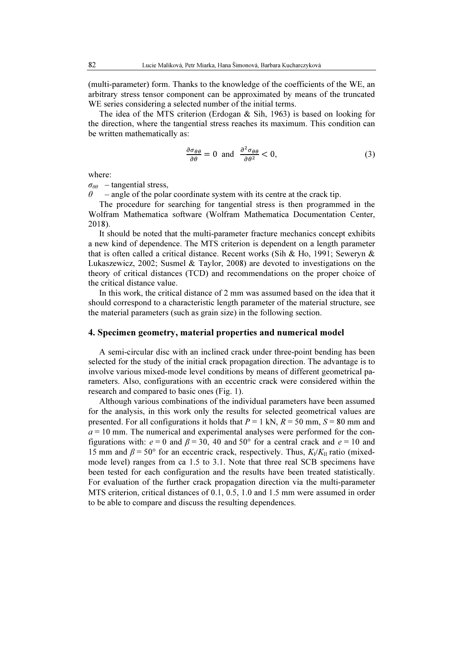(multi-parameter) form. Thanks to the knowledge of the coefficients of the WE, an arbitrary stress tensor component can be approximated by means of the truncated WE series considering a selected number of the initial terms.

The idea of the MTS criterion (Erdogan & Sih, 1963) is based on looking for the direction, where the tangential stress reaches its maximum. This condition can be written mathematically as:

$$
\frac{\partial \sigma_{\theta\theta}}{\partial \theta} = 0 \text{ and } \frac{\partial^2 \sigma_{\theta\theta}}{\partial \theta^2} < 0,\tag{3}
$$

where:

 $\sigma_{\theta\theta}$  – tangential stress.

 $-$  angle of the polar coordinate system with its centre at the crack tip.

The procedure for searching for tangential stress is then programmed in the Wolfram Mathematica software (Wolfram Mathematica Documentation Center, 2018).

It should be noted that the multi-parameter fracture mechanics concept exhibits a new kind of dependence. The MTS criterion is dependent on a length parameter that is often called a critical distance. Recent works (Sih & Ho, 1991; Seweryn & Lukaszewicz, 2002; Susmel & Taylor, 2008) are devoted to investigations on the theory of critical distances (TCD) and recommendations on the proper choice of the critical distance value.

In this work, the critical distance of 2 mm was assumed based on the idea that it should correspond to a characteristic length parameter of the material structure, see the material parameters (such as grain size) in the following section.

#### 4. Specimen geometry, material properties and numerical model

A semi-circular disc with an inclined crack under three-point bending has been selected for the study of the initial crack propagation direction. The advantage is to involve various mixed-mode level conditions by means of different geometrical parameters. Also, configurations with an eccentric crack were considered within the research and compared to basic ones (Fig. 1).

Although various combinations of the individual parameters have been assumed for the analysis, in this work only the results for selected geometrical values are presented. For all configurations it holds that  $P = 1$  kN,  $R = 50$  mm,  $S = 80$  mm and  $a = 10$  mm. The numerical and experimental analyses were performed for the configurations with:  $e = 0$  and  $\beta = 30$ , 40 and 50° for a central crack and  $e = 10$  and 15 mm and  $\beta$  = 50° for an eccentric crack, respectively. Thus,  $K_1/K_{II}$  ratio (mixedmode level) ranges from ca 1.5 to 3.1. Note that three real SCB specimens have been tested for each configuration and the results have been treated statistically. For evaluation of the further crack propagation direction via the multi-parameter MTS criterion, critical distances of 0.1, 0.5, 1.0 and 1.5 mm were assumed in order to be able to compare and discuss the resulting dependences.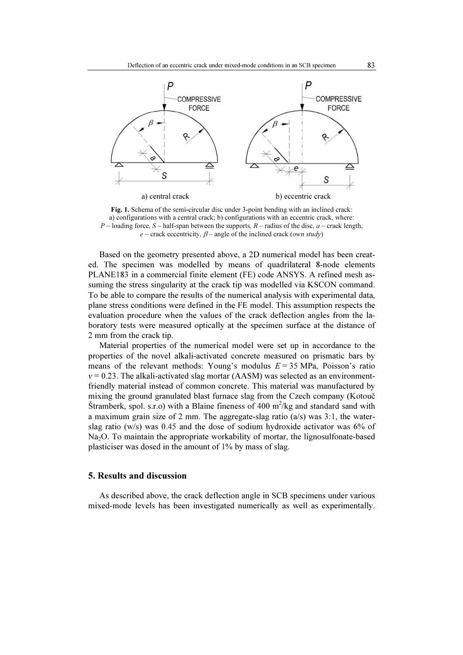

Fig. 1. Schema of the semi-circular disc under 3-point bending with an inclined crack: a) configurations with a central crack; b) configurations with an eccentric crack, where:  $P$  – loading force, S – half-span between the supports,  $R$  – radius of the disc,  $a$  – crack length,  $e$  – crack eccentricity,  $\beta$  – angle of the inclined crack (*own study*)

Based on the geometry presented above, a 2D numerical model has been created. The specimen was modelled by means of quadrilateral 8-node elements PLANE183 in a commercial finite element (FE) code ANSYS. A refined mesh assuming the stress singularity at the crack tip was modelled via KSCON command. To be able to compare the results of the numerical analysis with experimental data, plane stress conditions were defined in the FE model. This assumption respects the evaluation procedure when the values of the crack deflection angles from the laboratory tests were measured optically at the specimen surface at the distance of 2 mm from the crack tip.

Material properties of the numerical model were set up in accordance to the properties of the novel alkali-activated concrete measured on prismatic bars by means of the relevant methods: Young's modulus  $E = 35 \text{ MPa}$ , Poisson's ratio  $v = 0.23$ . The alkali-activated slag mortar (AASM) was selected as an environmentfriendly material instead of common concrete. This material was manufactured by mixing the ground granulated blast furnace slag from the Czech company (Kotouč Štramberk, spol. s.r.o) with a Blaine fineness of 400 m<sup>2</sup>/kg and standard sand with a maximum grain size of 2 mm. The aggregate-slag ratio (a/s) was 3:1, the waterslag ratio (w/s) was 0.45 and the dose of sodium hydroxide activator was 6% of Na<sub>2</sub>O. To maintain the appropriate workability of mortar, the lignosulfonate-based plasticiser was dosed in the amount of 1% by mass of slag.

### 5. Results and discussion

As described above, the crack deflection angle in SCB specimens under various mixed-mode levels has been investigated numerically as well as experimentally.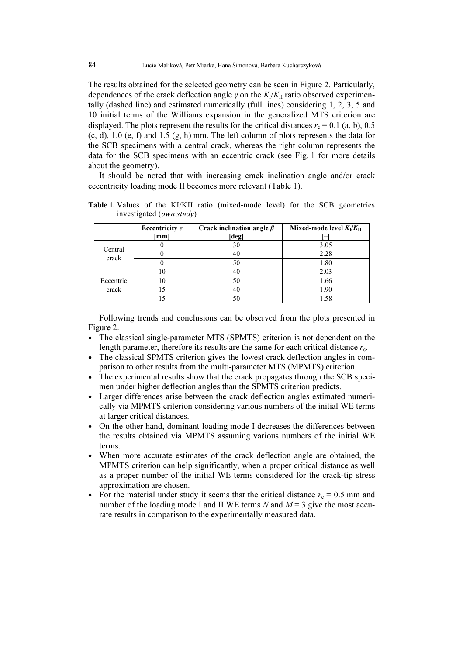The results obtained for the selected geometry can be seen in Figure 2. Particularly, dependences of the crack deflection angle  $\gamma$  on the  $K_V/K_H$  ratio observed experimentally (dashed line) and estimated numerically (full lines) considering 1, 2, 3, 5 and 10 initial terms of the Williams expansion in the generalized MTS criterion are displayed. The plots represent the results for the critical distances  $r_c = 0.1$  (a, b), 0.5 (c, d), 1.0 (e, f) and 1.5 (g, h) mm. The left column of plots represents the data for the SCB specimens with a central crack, whereas the right column represents the data for the SCB specimens with an eccentric crack (see Fig. 1 for more details about the geometry).

It should be noted that with increasing crack inclination angle and/or crack eccentricity loading mode II becomes more relevant (Table 1).

|                    | Eccentricity e<br>[mm] | Crack inclination angle $\beta$<br>[deg] | Mixed-mode level $K_I/K_{II}$ |
|--------------------|------------------------|------------------------------------------|-------------------------------|
| Central<br>crack   |                        | 30                                       | 3.05                          |
|                    |                        | 40                                       | 2.28                          |
|                    |                        | 50                                       | 1.80                          |
| Eccentric<br>crack | 10                     | 40                                       | 2.03                          |
|                    | 10                     | 50                                       | 1.66                          |
|                    |                        | 40                                       | 1.90                          |
|                    |                        |                                          | 1.58                          |

Table 1. Values of the KI/KII ratio (mixed-mode level) for the SCB geometries investigated (own study)

Following trends and conclusions can be observed from the plots presented in Figure 2.

- The classical single-parameter MTS (SPMTS) criterion is not dependent on the length parameter, therefore its results are the same for each critical distance  $r_c$ .
- The classical SPMTS criterion gives the lowest crack deflection angles in comparison to other results from the multi-parameter MTS (MPMTS) criterion.
- The experimental results show that the crack propagates through the SCB specimen under higher deflection angles than the SPMTS criterion predicts.
- Larger differences arise between the crack deflection angles estimated numerically via MPMTS criterion considering various numbers of the initial WE terms at larger critical distances.
- On the other hand, dominant loading mode I decreases the differences between the results obtained via MPMTS assuming various numbers of the initial WE terms.
- When more accurate estimates of the crack deflection angle are obtained, the MPMTS criterion can help significantly, when a proper critical distance as well as a proper number of the initial WE terms considered for the crack-tip stress approximation are chosen.
- For the material under study it seems that the critical distance  $r_c = 0.5$  mm and number of the loading mode I and II WE terms N and  $M = 3$  give the most accurate results in comparison to the experimentally measured data.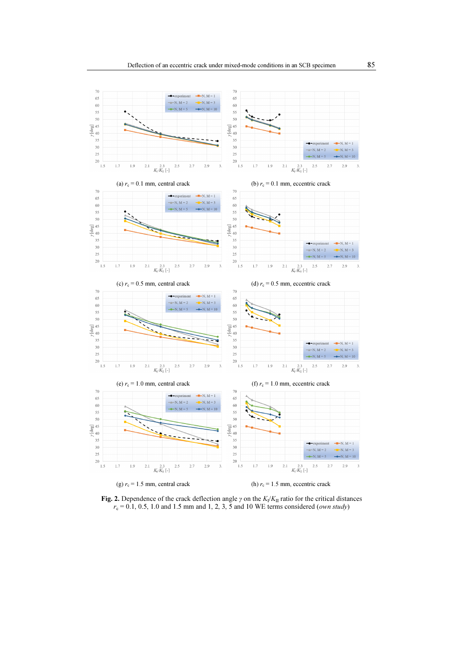

**Fig. 2.** Dependence of the crack deflection angle  $\gamma$  on the  $K_1/K_{II}$  ratio for the critical distances  $r_c = 0.1, 0.5, 1.0$  and 1.5 mm and 1, 2, 3, 5 and 10 WE terms considered (*own study*)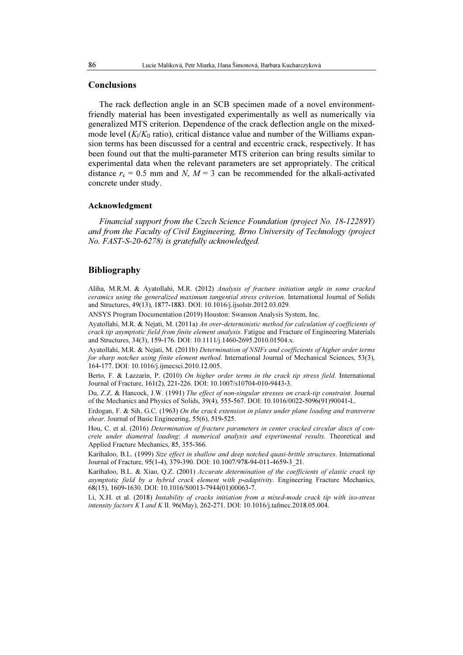#### **Conclusions**

The rack deflection angle in an SCB specimen made of a novel environmentfriendly material has been investigated experimentally as well as numerically via generalized MTS criterion. Dependence of the crack deflection angle on the mixedmode level  $(K_1/K_{II})$  ratio), critical distance value and number of the Williams expansion terms has been discussed for a central and eccentric crack, respectively. It has been found out that the multi-parameter MTS criterion can bring results similar to experimental data when the relevant parameters are set appropriately. The critical distance  $r_c = 0.5$  mm and N,  $M = 3$  can be recommended for the alkali-activated concrete under study.

#### Acknowledgment

Financial support from the Czech Science Foundation (project No. 18-12289Y) and from the Faculty of Civil Engineering, Brno University of Technology (project No. FAST-S-20-6278) is gratefully acknowledged.

### Bibliography

Aliha, M.R.M. & Ayatollahi, M.R. (2012) Analysis of fracture initiation angle in some cracked ceramics using the generalized maximum tangential stress criterion. International Journal of Solids and Structures, 49(13), 1877-1883. DOI: 10.1016/j.ijsolstr.2012.03.029.

ANSYS Program Documentation (2019) Houston: Swanson Analysis System, Inc.

Ayatollahi, M.R. & Nejati, M. (2011a) An over-deterministic method for calculation of coefficients of crack tip asymptotic field from finite element analysis. Fatigue and Fracture of Engineering Materials and Structures, 34(3), 159-176. DOI: 10.1111/j.1460-2695.2010.01504.x.

Ayatollahi, M.R. & Nejati, M. (2011b) Determination of NSIFs and coefficients of higher order terms for sharp notches using finite element method. International Journal of Mechanical Sciences, 53(3), 164-177. DOI: 10.1016/j.ijmecsci.2010.12.005.

Berto, F. & Lazzarin, P. (2010) On higher order terms in the crack tip stress field. International Journal of Fracture, 161(2), 221-226. DOI: 10.1007/s10704-010-9443-3.

Du, Z.Z. & Hancock, J.W. (1991) The effect of non-singular stresses on crack-tip constraint. Journal of the Mechanics and Physics of Solids, 39(4), 555-567. DOI: 10.1016/0022-5096(91)90041-L.

Erdogan, F. & Sih, G.C. (1963) On the crack extension in plates under plane loading and transverse shear. Journal of Basic Engineering, 55(6), 519-525.

Hou, C. et al. (2016) Determination of fracture parameters in center cracked circular discs of concrete under diametral loading: A numerical analysis and experimental results. Theoretical and Applied Fracture Mechanics, 85, 355-366.

Karihaloo, B.L. (1999) Size effect in shallow and deep notched quasi-brittle structures. International Journal of Fracture, 95(1-4), 379-390. DOI: 10.1007/978-94-011-4659-3\_21.

Karihaloo, B.L. & Xiao, Q.Z. (2001) Accurate determination of the coefficients of elastic crack tip asymptotic field by a hybrid crack element with p-adaptivity. Engineering Fracture Mechanics, 68(15), 1609-1630. DOI: 10.1016/S0013-7944(01)00063-7.

Li, X.H. et al. (2018) Instability of cracks initiation from a mixed-mode crack tip with iso-stress intensity factors K I and K II. 96(May), 262-271. DOI: 10.1016/j.tafmec.2018.05.004.